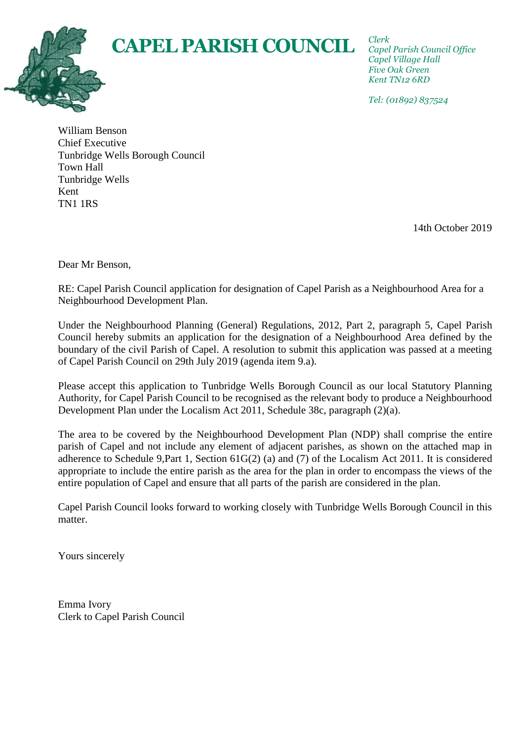*Clerk Capel Parish Council Office Capel Village Hall Five Oak Green Kent TN12 6RD*

*Tel: (01892) 837524*

William Benson Chief Executive Tunbridge Wells Borough Council Town Hall Tunbridge Wells Kent TN1 1RS

14th October 2019

Dear Mr Benson,

RE: Capel Parish Council application for designation of Capel Parish as a Neighbourhood Area for a Neighbourhood Development Plan.

**CAPEL PARISH COUNCIL**

Under the Neighbourhood Planning (General) Regulations, 2012, Part 2, paragraph 5, Capel Parish Council hereby submits an application for the designation of a Neighbourhood Area defined by the boundary of the civil Parish of Capel. A resolution to submit this application was passed at a meeting of Capel Parish Council on 29th July 2019 (agenda item 9.a).

Please accept this application to Tunbridge Wells Borough Council as our local Statutory Planning Authority, for Capel Parish Council to be recognised as the relevant body to produce a Neighbourhood Development Plan under the Localism Act 2011, Schedule 38c, paragraph (2)(a).

The area to be covered by the Neighbourhood Development Plan (NDP) shall comprise the entire parish of Capel and not include any element of adjacent parishes, as shown on the attached map in adherence to Schedule 9,Part 1, Section 61G(2) (a) and (7) of the Localism Act 2011. It is considered appropriate to include the entire parish as the area for the plan in order to encompass the views of the entire population of Capel and ensure that all parts of the parish are considered in the plan.

Capel Parish Council looks forward to working closely with Tunbridge Wells Borough Council in this matter.

Yours sincerely

Emma Ivory Clerk to Capel Parish Council